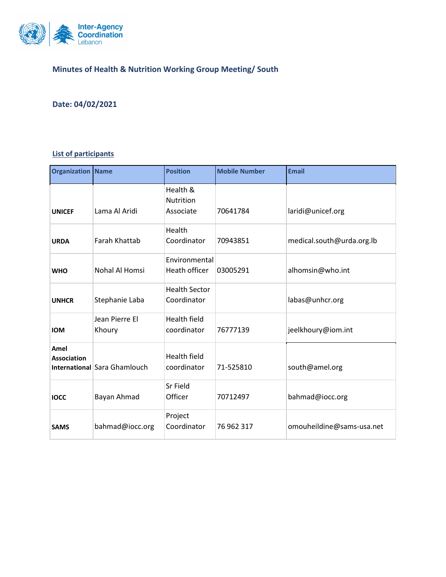

## **Minutes of Health & Nutrition Working Group Meeting/ South**

## **Date: 04/02/2021**

## **List of participants**

| <b>Organization Name</b>   |                              | <b>Position</b>                     | <b>Mobile Number</b> | <b>Email</b>              |
|----------------------------|------------------------------|-------------------------------------|----------------------|---------------------------|
| <b>UNICEF</b>              | Lama Al Aridi                | Health &<br>Nutrition<br>Associate  | 70641784             | laridi@unicef.org         |
| <b>URDA</b>                | Farah Khattab                | Health<br>Coordinator               | 70943851             | medical.south@urda.org.lb |
| <b>WHO</b>                 | Nohal Al Homsi               | Environmental<br>Heath officer      | 03005291             | alhomsin@who.int          |
| <b>UNHCR</b>               | Stephanie Laba               | <b>Health Sector</b><br>Coordinator |                      | labas@unhcr.org           |
| <b>IOM</b>                 | Jean Pierre El<br>Khoury     | <b>Health field</b><br>coordinator  | 76777139             | jeelkhoury@iom.int        |
| Amel<br><b>Association</b> | International Sara Ghamlouch | <b>Health field</b><br>coordinator  | 71-525810            | south@amel.org            |
| <b>IOCC</b>                | Bayan Ahmad                  | Sr Field<br>Officer                 | 70712497             | bahmad@iocc.org           |
| <b>SAMS</b>                | bahmad@iocc.org              | Project<br>Coordinator              | 76 962 317           | omouheildine@sams-usa.net |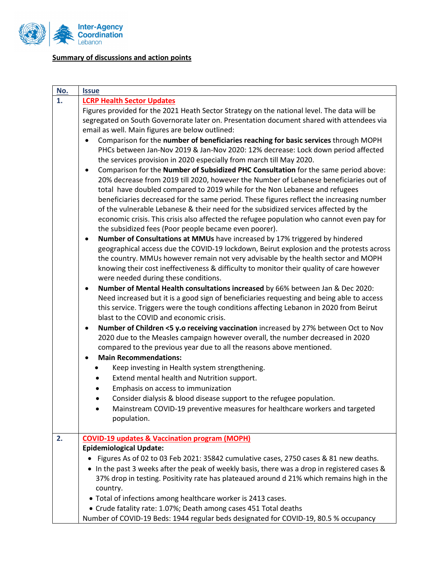

## **Summary of discussions and action points**

| <u>No.</u> | <b>Issue</b>                                                                                                                                                                                                                                                                                                                                                                                                                                                                                                                                                                                                                                                                                                                                                                                                                                                                                                                                                                                                                                                                                                                                                                                                                                                                                                                                                                                                                                                                                                                                                                                                                                                                                                                                                                                                                                                                                                                                                                                                                                                                                                                                                                            |  |  |  |  |
|------------|-----------------------------------------------------------------------------------------------------------------------------------------------------------------------------------------------------------------------------------------------------------------------------------------------------------------------------------------------------------------------------------------------------------------------------------------------------------------------------------------------------------------------------------------------------------------------------------------------------------------------------------------------------------------------------------------------------------------------------------------------------------------------------------------------------------------------------------------------------------------------------------------------------------------------------------------------------------------------------------------------------------------------------------------------------------------------------------------------------------------------------------------------------------------------------------------------------------------------------------------------------------------------------------------------------------------------------------------------------------------------------------------------------------------------------------------------------------------------------------------------------------------------------------------------------------------------------------------------------------------------------------------------------------------------------------------------------------------------------------------------------------------------------------------------------------------------------------------------------------------------------------------------------------------------------------------------------------------------------------------------------------------------------------------------------------------------------------------------------------------------------------------------------------------------------------------|--|--|--|--|
| 1.         | <b>LCRP Health Sector Updates</b>                                                                                                                                                                                                                                                                                                                                                                                                                                                                                                                                                                                                                                                                                                                                                                                                                                                                                                                                                                                                                                                                                                                                                                                                                                                                                                                                                                                                                                                                                                                                                                                                                                                                                                                                                                                                                                                                                                                                                                                                                                                                                                                                                       |  |  |  |  |
|            | Figures provided for the 2021 Heath Sector Strategy on the national level. The data will be                                                                                                                                                                                                                                                                                                                                                                                                                                                                                                                                                                                                                                                                                                                                                                                                                                                                                                                                                                                                                                                                                                                                                                                                                                                                                                                                                                                                                                                                                                                                                                                                                                                                                                                                                                                                                                                                                                                                                                                                                                                                                             |  |  |  |  |
|            | segregated on South Governorate later on. Presentation document shared with attendees via                                                                                                                                                                                                                                                                                                                                                                                                                                                                                                                                                                                                                                                                                                                                                                                                                                                                                                                                                                                                                                                                                                                                                                                                                                                                                                                                                                                                                                                                                                                                                                                                                                                                                                                                                                                                                                                                                                                                                                                                                                                                                               |  |  |  |  |
|            | email as well. Main figures are below outlined:                                                                                                                                                                                                                                                                                                                                                                                                                                                                                                                                                                                                                                                                                                                                                                                                                                                                                                                                                                                                                                                                                                                                                                                                                                                                                                                                                                                                                                                                                                                                                                                                                                                                                                                                                                                                                                                                                                                                                                                                                                                                                                                                         |  |  |  |  |
|            | $\bullet$                                                                                                                                                                                                                                                                                                                                                                                                                                                                                                                                                                                                                                                                                                                                                                                                                                                                                                                                                                                                                                                                                                                                                                                                                                                                                                                                                                                                                                                                                                                                                                                                                                                                                                                                                                                                                                                                                                                                                                                                                                                                                                                                                                               |  |  |  |  |
|            |                                                                                                                                                                                                                                                                                                                                                                                                                                                                                                                                                                                                                                                                                                                                                                                                                                                                                                                                                                                                                                                                                                                                                                                                                                                                                                                                                                                                                                                                                                                                                                                                                                                                                                                                                                                                                                                                                                                                                                                                                                                                                                                                                                                         |  |  |  |  |
|            |                                                                                                                                                                                                                                                                                                                                                                                                                                                                                                                                                                                                                                                                                                                                                                                                                                                                                                                                                                                                                                                                                                                                                                                                                                                                                                                                                                                                                                                                                                                                                                                                                                                                                                                                                                                                                                                                                                                                                                                                                                                                                                                                                                                         |  |  |  |  |
|            | $\bullet$                                                                                                                                                                                                                                                                                                                                                                                                                                                                                                                                                                                                                                                                                                                                                                                                                                                                                                                                                                                                                                                                                                                                                                                                                                                                                                                                                                                                                                                                                                                                                                                                                                                                                                                                                                                                                                                                                                                                                                                                                                                                                                                                                                               |  |  |  |  |
|            |                                                                                                                                                                                                                                                                                                                                                                                                                                                                                                                                                                                                                                                                                                                                                                                                                                                                                                                                                                                                                                                                                                                                                                                                                                                                                                                                                                                                                                                                                                                                                                                                                                                                                                                                                                                                                                                                                                                                                                                                                                                                                                                                                                                         |  |  |  |  |
|            |                                                                                                                                                                                                                                                                                                                                                                                                                                                                                                                                                                                                                                                                                                                                                                                                                                                                                                                                                                                                                                                                                                                                                                                                                                                                                                                                                                                                                                                                                                                                                                                                                                                                                                                                                                                                                                                                                                                                                                                                                                                                                                                                                                                         |  |  |  |  |
|            |                                                                                                                                                                                                                                                                                                                                                                                                                                                                                                                                                                                                                                                                                                                                                                                                                                                                                                                                                                                                                                                                                                                                                                                                                                                                                                                                                                                                                                                                                                                                                                                                                                                                                                                                                                                                                                                                                                                                                                                                                                                                                                                                                                                         |  |  |  |  |
|            |                                                                                                                                                                                                                                                                                                                                                                                                                                                                                                                                                                                                                                                                                                                                                                                                                                                                                                                                                                                                                                                                                                                                                                                                                                                                                                                                                                                                                                                                                                                                                                                                                                                                                                                                                                                                                                                                                                                                                                                                                                                                                                                                                                                         |  |  |  |  |
|            |                                                                                                                                                                                                                                                                                                                                                                                                                                                                                                                                                                                                                                                                                                                                                                                                                                                                                                                                                                                                                                                                                                                                                                                                                                                                                                                                                                                                                                                                                                                                                                                                                                                                                                                                                                                                                                                                                                                                                                                                                                                                                                                                                                                         |  |  |  |  |
|            |                                                                                                                                                                                                                                                                                                                                                                                                                                                                                                                                                                                                                                                                                                                                                                                                                                                                                                                                                                                                                                                                                                                                                                                                                                                                                                                                                                                                                                                                                                                                                                                                                                                                                                                                                                                                                                                                                                                                                                                                                                                                                                                                                                                         |  |  |  |  |
|            |                                                                                                                                                                                                                                                                                                                                                                                                                                                                                                                                                                                                                                                                                                                                                                                                                                                                                                                                                                                                                                                                                                                                                                                                                                                                                                                                                                                                                                                                                                                                                                                                                                                                                                                                                                                                                                                                                                                                                                                                                                                                                                                                                                                         |  |  |  |  |
|            |                                                                                                                                                                                                                                                                                                                                                                                                                                                                                                                                                                                                                                                                                                                                                                                                                                                                                                                                                                                                                                                                                                                                                                                                                                                                                                                                                                                                                                                                                                                                                                                                                                                                                                                                                                                                                                                                                                                                                                                                                                                                                                                                                                                         |  |  |  |  |
|            |                                                                                                                                                                                                                                                                                                                                                                                                                                                                                                                                                                                                                                                                                                                                                                                                                                                                                                                                                                                                                                                                                                                                                                                                                                                                                                                                                                                                                                                                                                                                                                                                                                                                                                                                                                                                                                                                                                                                                                                                                                                                                                                                                                                         |  |  |  |  |
|            |                                                                                                                                                                                                                                                                                                                                                                                                                                                                                                                                                                                                                                                                                                                                                                                                                                                                                                                                                                                                                                                                                                                                                                                                                                                                                                                                                                                                                                                                                                                                                                                                                                                                                                                                                                                                                                                                                                                                                                                                                                                                                                                                                                                         |  |  |  |  |
|            |                                                                                                                                                                                                                                                                                                                                                                                                                                                                                                                                                                                                                                                                                                                                                                                                                                                                                                                                                                                                                                                                                                                                                                                                                                                                                                                                                                                                                                                                                                                                                                                                                                                                                                                                                                                                                                                                                                                                                                                                                                                                                                                                                                                         |  |  |  |  |
|            |                                                                                                                                                                                                                                                                                                                                                                                                                                                                                                                                                                                                                                                                                                                                                                                                                                                                                                                                                                                                                                                                                                                                                                                                                                                                                                                                                                                                                                                                                                                                                                                                                                                                                                                                                                                                                                                                                                                                                                                                                                                                                                                                                                                         |  |  |  |  |
|            |                                                                                                                                                                                                                                                                                                                                                                                                                                                                                                                                                                                                                                                                                                                                                                                                                                                                                                                                                                                                                                                                                                                                                                                                                                                                                                                                                                                                                                                                                                                                                                                                                                                                                                                                                                                                                                                                                                                                                                                                                                                                                                                                                                                         |  |  |  |  |
|            | blast to the COVID and economic crisis.                                                                                                                                                                                                                                                                                                                                                                                                                                                                                                                                                                                                                                                                                                                                                                                                                                                                                                                                                                                                                                                                                                                                                                                                                                                                                                                                                                                                                                                                                                                                                                                                                                                                                                                                                                                                                                                                                                                                                                                                                                                                                                                                                 |  |  |  |  |
|            | Number of Children <5 y.o receiving vaccination increased by 27% between Oct to Nov<br>$\bullet$                                                                                                                                                                                                                                                                                                                                                                                                                                                                                                                                                                                                                                                                                                                                                                                                                                                                                                                                                                                                                                                                                                                                                                                                                                                                                                                                                                                                                                                                                                                                                                                                                                                                                                                                                                                                                                                                                                                                                                                                                                                                                        |  |  |  |  |
|            | 2020 due to the Measles campaign however overall, the number decreased in 2020                                                                                                                                                                                                                                                                                                                                                                                                                                                                                                                                                                                                                                                                                                                                                                                                                                                                                                                                                                                                                                                                                                                                                                                                                                                                                                                                                                                                                                                                                                                                                                                                                                                                                                                                                                                                                                                                                                                                                                                                                                                                                                          |  |  |  |  |
|            | compared to the previous year due to all the reasons above mentioned.                                                                                                                                                                                                                                                                                                                                                                                                                                                                                                                                                                                                                                                                                                                                                                                                                                                                                                                                                                                                                                                                                                                                                                                                                                                                                                                                                                                                                                                                                                                                                                                                                                                                                                                                                                                                                                                                                                                                                                                                                                                                                                                   |  |  |  |  |
|            | <b>Main Recommendations:</b><br>$\bullet$                                                                                                                                                                                                                                                                                                                                                                                                                                                                                                                                                                                                                                                                                                                                                                                                                                                                                                                                                                                                                                                                                                                                                                                                                                                                                                                                                                                                                                                                                                                                                                                                                                                                                                                                                                                                                                                                                                                                                                                                                                                                                                                                               |  |  |  |  |
|            | Keep investing in Health system strengthening.                                                                                                                                                                                                                                                                                                                                                                                                                                                                                                                                                                                                                                                                                                                                                                                                                                                                                                                                                                                                                                                                                                                                                                                                                                                                                                                                                                                                                                                                                                                                                                                                                                                                                                                                                                                                                                                                                                                                                                                                                                                                                                                                          |  |  |  |  |
|            | Extend mental health and Nutrition support.                                                                                                                                                                                                                                                                                                                                                                                                                                                                                                                                                                                                                                                                                                                                                                                                                                                                                                                                                                                                                                                                                                                                                                                                                                                                                                                                                                                                                                                                                                                                                                                                                                                                                                                                                                                                                                                                                                                                                                                                                                                                                                                                             |  |  |  |  |
|            | Emphasis on access to immunization                                                                                                                                                                                                                                                                                                                                                                                                                                                                                                                                                                                                                                                                                                                                                                                                                                                                                                                                                                                                                                                                                                                                                                                                                                                                                                                                                                                                                                                                                                                                                                                                                                                                                                                                                                                                                                                                                                                                                                                                                                                                                                                                                      |  |  |  |  |
|            | Consider dialysis & blood disease support to the refugee population.                                                                                                                                                                                                                                                                                                                                                                                                                                                                                                                                                                                                                                                                                                                                                                                                                                                                                                                                                                                                                                                                                                                                                                                                                                                                                                                                                                                                                                                                                                                                                                                                                                                                                                                                                                                                                                                                                                                                                                                                                                                                                                                    |  |  |  |  |
|            | Mainstream COVID-19 preventive measures for healthcare workers and targeted                                                                                                                                                                                                                                                                                                                                                                                                                                                                                                                                                                                                                                                                                                                                                                                                                                                                                                                                                                                                                                                                                                                                                                                                                                                                                                                                                                                                                                                                                                                                                                                                                                                                                                                                                                                                                                                                                                                                                                                                                                                                                                             |  |  |  |  |
|            |                                                                                                                                                                                                                                                                                                                                                                                                                                                                                                                                                                                                                                                                                                                                                                                                                                                                                                                                                                                                                                                                                                                                                                                                                                                                                                                                                                                                                                                                                                                                                                                                                                                                                                                                                                                                                                                                                                                                                                                                                                                                                                                                                                                         |  |  |  |  |
|            |                                                                                                                                                                                                                                                                                                                                                                                                                                                                                                                                                                                                                                                                                                                                                                                                                                                                                                                                                                                                                                                                                                                                                                                                                                                                                                                                                                                                                                                                                                                                                                                                                                                                                                                                                                                                                                                                                                                                                                                                                                                                                                                                                                                         |  |  |  |  |
|            |                                                                                                                                                                                                                                                                                                                                                                                                                                                                                                                                                                                                                                                                                                                                                                                                                                                                                                                                                                                                                                                                                                                                                                                                                                                                                                                                                                                                                                                                                                                                                                                                                                                                                                                                                                                                                                                                                                                                                                                                                                                                                                                                                                                         |  |  |  |  |
|            |                                                                                                                                                                                                                                                                                                                                                                                                                                                                                                                                                                                                                                                                                                                                                                                                                                                                                                                                                                                                                                                                                                                                                                                                                                                                                                                                                                                                                                                                                                                                                                                                                                                                                                                                                                                                                                                                                                                                                                                                                                                                                                                                                                                         |  |  |  |  |
|            |                                                                                                                                                                                                                                                                                                                                                                                                                                                                                                                                                                                                                                                                                                                                                                                                                                                                                                                                                                                                                                                                                                                                                                                                                                                                                                                                                                                                                                                                                                                                                                                                                                                                                                                                                                                                                                                                                                                                                                                                                                                                                                                                                                                         |  |  |  |  |
|            |                                                                                                                                                                                                                                                                                                                                                                                                                                                                                                                                                                                                                                                                                                                                                                                                                                                                                                                                                                                                                                                                                                                                                                                                                                                                                                                                                                                                                                                                                                                                                                                                                                                                                                                                                                                                                                                                                                                                                                                                                                                                                                                                                                                         |  |  |  |  |
|            |                                                                                                                                                                                                                                                                                                                                                                                                                                                                                                                                                                                                                                                                                                                                                                                                                                                                                                                                                                                                                                                                                                                                                                                                                                                                                                                                                                                                                                                                                                                                                                                                                                                                                                                                                                                                                                                                                                                                                                                                                                                                                                                                                                                         |  |  |  |  |
|            |                                                                                                                                                                                                                                                                                                                                                                                                                                                                                                                                                                                                                                                                                                                                                                                                                                                                                                                                                                                                                                                                                                                                                                                                                                                                                                                                                                                                                                                                                                                                                                                                                                                                                                                                                                                                                                                                                                                                                                                                                                                                                                                                                                                         |  |  |  |  |
|            |                                                                                                                                                                                                                                                                                                                                                                                                                                                                                                                                                                                                                                                                                                                                                                                                                                                                                                                                                                                                                                                                                                                                                                                                                                                                                                                                                                                                                                                                                                                                                                                                                                                                                                                                                                                                                                                                                                                                                                                                                                                                                                                                                                                         |  |  |  |  |
|            |                                                                                                                                                                                                                                                                                                                                                                                                                                                                                                                                                                                                                                                                                                                                                                                                                                                                                                                                                                                                                                                                                                                                                                                                                                                                                                                                                                                                                                                                                                                                                                                                                                                                                                                                                                                                                                                                                                                                                                                                                                                                                                                                                                                         |  |  |  |  |
| 2.         | Comparison for the number of beneficiaries reaching for basic services through MOPH<br>PHCs between Jan-Nov 2019 & Jan-Nov 2020: 12% decrease: Lock down period affected<br>the services provision in 2020 especially from march till May 2020.<br>Comparison for the Number of Subsidized PHC Consultation for the same period above:<br>20% decrease from 2019 till 2020, however the Number of Lebanese beneficiaries out of<br>total have doubled compared to 2019 while for the Non Lebanese and refugees<br>beneficiaries decreased for the same period. These figures reflect the increasing number<br>of the vulnerable Lebanese & their need for the subsidized services affected by the<br>economic crisis. This crisis also affected the refugee population who cannot even pay for<br>the subsidized fees (Poor people became even poorer).<br>Number of Consultations at MMUs have increased by 17% triggered by hindered<br>٠<br>geographical access due the COVID-19 lockdown, Beirut explosion and the protests across<br>the country. MMUs however remain not very advisable by the health sector and MOPH<br>knowing their cost ineffectiveness & difficulty to monitor their quality of care however<br>were needed during these conditions.<br>Number of Mental Health consultations increased by 66% between Jan & Dec 2020:<br>٠<br>Need increased but it is a good sign of beneficiaries requesting and being able to access<br>this service. Triggers were the tough conditions affecting Lebanon in 2020 from Beirut<br>population.<br><b>COVID-19 updates &amp; Vaccination program (MOPH)</b><br><b>Epidemiological Update:</b><br>Figures As of 02 to 03 Feb 2021: 35842 cumulative cases, 2750 cases & 81 new deaths.<br>• In the past 3 weeks after the peak of weekly basis, there was a drop in registered cases &<br>37% drop in testing. Positivity rate has plateaued around d 21% which remains high in the<br>country.<br>• Total of infections among healthcare worker is 2413 cases.<br>• Crude fatality rate: 1.07%; Death among cases 451 Total deaths<br>Number of COVID-19 Beds: 1944 regular beds designated for COVID-19, 80.5 % occupancy |  |  |  |  |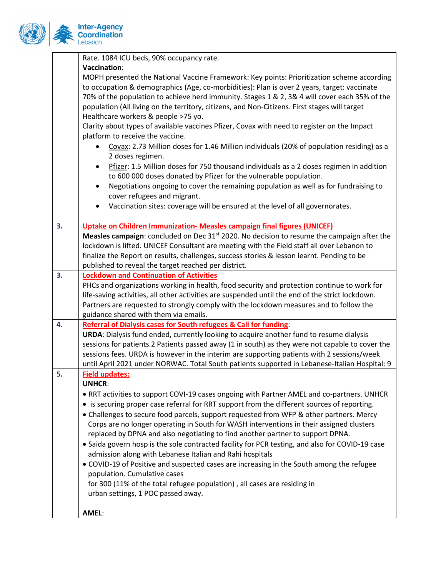

|    | Rate. 1084 ICU beds, 90% occupancy rate.                                                                                                                                |
|----|-------------------------------------------------------------------------------------------------------------------------------------------------------------------------|
|    | Vaccination:                                                                                                                                                            |
|    | MOPH presented the National Vaccine Framework: Key points: Prioritization scheme according                                                                              |
|    | to occupation & demographics (Age, co-morbidities): Plan is over 2 years, target: vaccinate                                                                             |
|    | 70% of the population to achieve herd immunity. Stages 1 & 2, 3& 4 will cover each 35% of the                                                                           |
|    | population (All living on the territory, citizens, and Non-Citizens. First stages will target                                                                           |
|    | Healthcare workers & people >75 yo.                                                                                                                                     |
|    | Clarity about types of available vaccines Pfizer, Covax with need to register on the Impact                                                                             |
|    | platform to receive the vaccine.                                                                                                                                        |
|    | Covax: 2.73 Million doses for 1.46 Million individuals (20% of population residing) as a<br>2 doses regimen.                                                            |
|    | Pfizer: 1.5 Million doses for 750 thousand individuals as a 2 doses regimen in addition<br>$\bullet$                                                                    |
|    | to 600 000 doses donated by Pfizer for the vulnerable population.                                                                                                       |
|    | Negotiations ongoing to cover the remaining population as well as for fundraising to                                                                                    |
|    | cover refugees and migrant.                                                                                                                                             |
|    | Vaccination sites: coverage will be ensured at the level of all governorates.<br>٠                                                                                      |
|    |                                                                                                                                                                         |
| 3. | <b>Uptake on Children Immunization- Measles campaign final figures (UNICEF)</b>                                                                                         |
|    | Measles campaign: concluded on Dec 31 <sup>st</sup> 2020. No decision to resume the campaign after the                                                                  |
|    | lockdown is lifted. UNICEF Consultant are meeting with the Field staff all over Lebanon to                                                                              |
|    | finalize the Report on results, challenges, success stories & lesson learnt. Pending to be                                                                              |
|    | published to reveal the target reached per district.                                                                                                                    |
| 3. | <b>Lockdown and Continuation of Activities</b>                                                                                                                          |
|    | PHCs and organizations working in health, food security and protection continue to work for                                                                             |
|    | life-saving activities, all other activities are suspended until the end of the strict lockdown.                                                                        |
|    | Partners are requested to strongly comply with the lockdown measures and to follow the                                                                                  |
|    | guidance shared with them via emails.                                                                                                                                   |
| 4. | <b>Referral of Dialysis cases for South refugees &amp; Call for funding:</b><br>URDA: Dialysis fund ended, currently looking to acquire another fund to resume dialysis |
|    | sessions for patients.2 Patients passed away (1 in south) as they were not capable to cover the                                                                         |
|    | sessions fees. URDA is however in the interim are supporting patients with 2 sessions/week                                                                              |
|    | until April 2021 under NORWAC. Total South patients supported in Lebanese-Italian Hospital: 9                                                                           |
| 5. | <b>Field updates:</b>                                                                                                                                                   |
|    | <b>UNHCR:</b>                                                                                                                                                           |
|    | • RRT activities to support COVI-19 cases ongoing with Partner AMEL and co-partners. UNHCR                                                                              |
|    | • is securing proper case referral for RRT support from the different sources of reporting.                                                                             |
|    | • Challenges to secure food parcels, support requested from WFP & other partners. Mercy                                                                                 |
|    | Corps are no longer operating in South for WASH interventions in their assigned clusters                                                                                |
|    | replaced by DPNA and also negotiating to find another partner to support DPNA.                                                                                          |
|    | • Saida govern hosp is the sole contracted facility for PCR testing, and also for COVID-19 case                                                                         |
|    | admission along with Lebanese Italian and Rahi hospitals                                                                                                                |
|    | • COVID-19 of Positive and suspected cases are increasing in the South among the refugee                                                                                |
|    | population. Cumulative cases                                                                                                                                            |
|    | for 300 (11% of the total refugee population), all cases are residing in                                                                                                |
|    | urban settings, 1 POC passed away.                                                                                                                                      |
|    |                                                                                                                                                                         |
|    | AMEL:                                                                                                                                                                   |